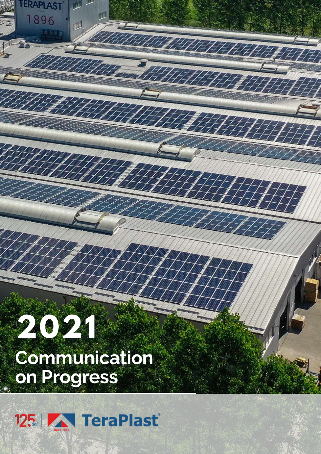# **2021 Communication on Progress**

**TERAPLAST** 

896

1

WANTA PIT

HATHATH

777

 $\#$ 

 $\not\!\!\equiv$ 

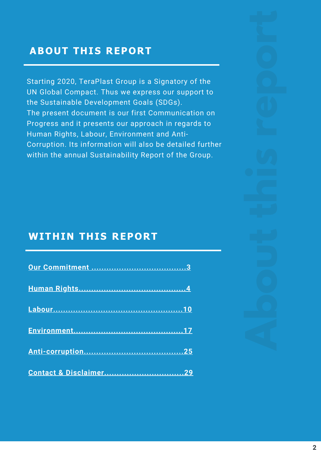## ABOUT THIS REPORT

Starting 2020, TeraPlast Group is a Signatory of the UN Global Compact. Thus we express our support to the Sustainable Development Goals (SDGs). The present document is our first Communication on Progress and it presents our approach in regards to Human Rights, Labour, Environment and Anti-Corruption. Its information will also be detailed further within the annual Sustainability Report of the Group.

#### WITHIN THIS REPORT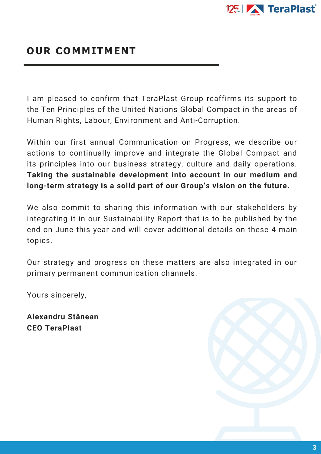

#### OUR COMMITMENT

I am pleased to confirm that TeraPlast Group reaffirms its support to the Ten Principles of the United Nations Global Compact in the areas of Human Rights, Labour, Environment and Anti-Corruption.

Within our first annual Communication on Progress, we describe our actions to continually improve and integrate the Global Compact and its principles into our business strategy, culture and daily operations. **Taking the sustainable development into account in our medium and long-term strategy is a solid part of our Group's vision on the future.**

We also commit to sharing this information with our stakeholders by integrating it in our Sustainability Report that is to be published by the end on June this year and will cover additional details on these 4 main topics.

Our strategy and progress on these matters are also integrated in our primary permanent communication channels.

Yours sincerely,

**Alexandru Stânean CEO TeraPlast**

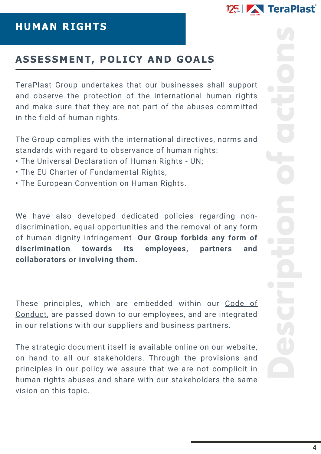

TeraPlast Group undertakes that our businesses shall support and observe the protection of the international human rights and make sure that they are not part of the abuses committed in the field of human rights.

The Group complies with the international directives, norms and standards with regard to observance of human rights:

- The Universal Declaration of Human Rights UN;
- The EU Charter of Fundamental Rights;
- The European Convention on Human Rights.

We have also developed dedicated policies regarding nondiscrimination, equal opportunities and the removal of any form of human dignity infringement. **Our Group forbids any form of discrimination towards its employees, partners and collaborators or involving them.**

These principles, which are embedded within our Code of Conduct, are passed down to our [employees,](https://www.teraplast.ro/en/about-us/organizational-culture/) and are integrated in our relations with our suppliers and business partners.

The strategic document itself is available online on our website, on hand to all our stakeholders. Through the provisions and principles in our policy we assure that we are not complicit in human rights abuses and share with our stakeholders the same vision on this topic.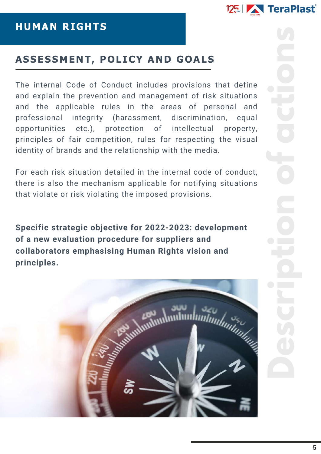

The internal Code of Conduct includes provisions that define and explain the prevention and management of risk situations and the applicable rules in the areas of personal and professional integrity (harassment, discrimination, equal opportunities etc.), protection of intellectual property, principles of fair competition, rules for respecting the visual identity of brands and the relationship with the media.

For each risk situation detailed in the internal code of conduct, there is also the mechanism applicable for notifying situations that violate or risk violating the imposed provisions.

**Specific strategic objective for 2022-2023: development of a new evaluation procedure for suppliers and collaborators emphasising Human Rights vision and principles.**

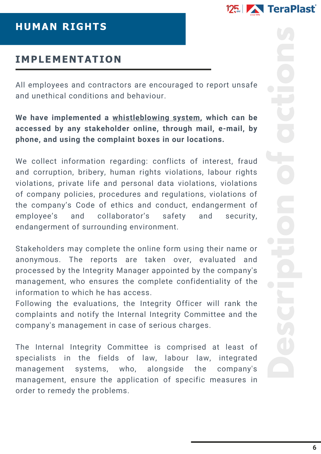

#### HUMAN RIGHTS

## IMPLEMENTATION

All employees and contractors are encouraged to report unsafe and unethical conditions and behaviour.

#### **We have implemented a [whistleblowing](https://www.teraplast.ro/en/about-us/integrity-warnings-policy/) system, which can be accessed by any stakeholder online, through mail, e-mail, by phone, and using the complaint boxes in our locations.**

We collect information regarding: conflicts of interest, fraud and corruption, bribery, human rights violations, labour rights violations, private life and personal data violations, violations of company policies, procedures and regulations, violations of the company's Code of ethics and conduct, endangerment of employee's and collaborator's safety and security, endangerment of surrounding environment.

Stakeholders may complete the online form using their name or anonymous. The reports are taken over, evaluated and processed by the Integrity Manager appointed by the company's management, who ensures the complete confidentiality of the information to which he has access.

Following the evaluations, the Integrity Officer will rank the complaints and notify the Internal Integrity Committee and the company's management in case of serious charges.

The Internal Integrity Committee is comprised at least of specialists in the fields of law, labour law, integrated management systems, who, alongside the company's management, ensure the application of specific measures in order to remedy the problems.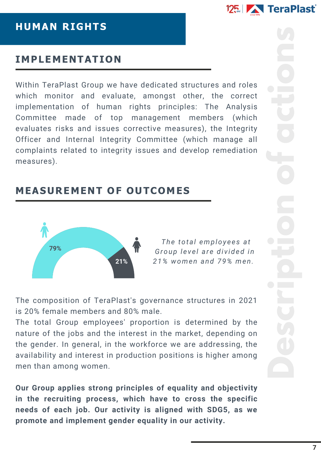

#### HUMAN RIGHTS

#### IMPLEMENTATION

Within TeraPlast Group we have dedicated structures and roles which monitor and evaluate, amongst other, the correct implementation of human rights principles: The Analysis Committee made of top management members (which evaluates risks and issues corrective measures), the Integrity Officer and Internal Integrity Committee (which manage all complaints related to integrity issues and develop remediation measures).

## MEASUREMENT OF OUTCOMES



*The total employ e e s at Group l e v e l ar e di v ided in 21% women and 79% men.*

The composition of TeraPlast's governance structures in 2021 is 20% female members and 80% male.

The total Group employees' proportion is determined by the nature of the jobs and the interest in the market, depending on the gender. In general, in the workforce we are addressing, the availability and interest in production positions is higher among men than among women.

**Our Group applies strong principles of equality and objectivity in the recruiting process, which have to cross the specific needs of each job. Our activity is aligned with SDG5, as we promote and implement gender equality in our activity.**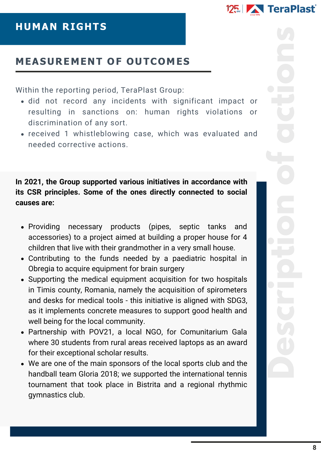

## HUMAN RIGHTS

## MEASUREMENT OF OUTCOMES

Within the reporting period, TeraPlast Group:

- did not record any incidents with significant impact or resulting in sanctions on: human rights violations or discrimination of any sort.
- received 1 whistleblowing case, which was evaluated and needed corrective actions.

**In 2021, the Group supported various initiatives in accordance with its CSR principles. Some of the ones directly connected to social causes are:**

- Providing necessary products (pipes, septic tanks and accessories) to a project aimed at building a proper house for 4 children that live with their grandmother in a very small house.
- Contributing to the funds needed by a paediatric hospital in Obregia to acquire equipment for brain surgery
- Supporting the medical equipment acquisition for two hospitals in Timis county, Romania, namely the acquisition of spirometers and desks for medical tools - this initiative is aligned with SDG3, as it implements concrete measures to support good health and well being for the local community.
- Partnership with POV21, a local NGO, for Comunitarium Gala where 30 students from rural areas received laptops as an award for their exceptional scholar results.
- We are one of the main sponsors of the local sports club and the handball team Gloria 2018; we supported the international tennis tournament that took place in Bistrita and a regional rhythmic gymnastics club.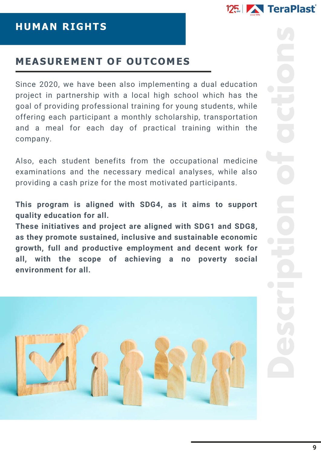

#### MEASUREMENT OF OUTCOMES

Since 2020, we have been also implementing a dual education project in partnership with a local high school which has the goal of providing professional training for young students, while offering each participant a monthly scholarship, transportation and a meal for each day of practical training within the company.

Also, each student benefits from the occupational medicine examinations and the necessary medical analyses, while also providing a cash prize for the most motivated participants.

**This program is aligned with SDG4, as it aims to support quality education for all.**

**These initiatives and project are aligned with SDG1 and SDG8, as they promote sustained, inclusive and sustainable economic growth, full and productive employment and decent work for all, with the scope of achieving a no poverty social environment for all.**

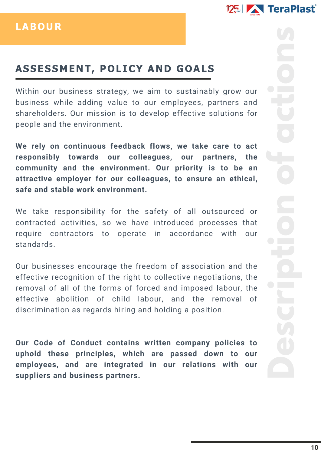

Within our business strategy, we aim to sustainably grow our business while adding value to our employees, partners and shareholders. Our mission is to develop effective solutions for people and the environment.

**We rely on continuous feedback flows, we take care to act responsibly towards our colleagues, our partners, the community and the environment. Our priority is to be an attractive employer for our colleagues, to ensure an ethical, safe and stable work environment.**

We take responsibility for the safety of all outsourced or contracted activities, so we have introduced processes that require contractors to operate in accordance with our standards.

Our businesses encourage the freedom of association and the effective recognition of the right to collective negotiations, the removal of all of the forms of forced and imposed labour, the effective abolition of child labour, and the removal of discrimination as regards hiring and holding a position.

**Our Code of Conduct contains written company policies to uphold these principles, which are passed down to our employees, and are integrated in our relations with our suppliers and business partners.**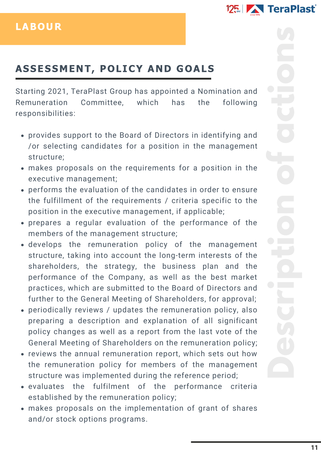Starting 2021, TeraPlast Group has appointed a Nomination and Remuneration Committee, which has the following responsibilities:

- provides support to the Board of Directors in identifying and /or selecting candidates for a position in the management structure;
- makes proposals on the requirements for a position in the executive management;
- performs the evaluation of the candidates in order to ensure the fulfillment of the requirements / criteria specific to the position in the executive management, if applicable;
- prepares a regular evaluation of the performance of the members of the management structure;
- develops the remuneration policy of the management structure, taking into account the long-term interests of the shareholders, the strategy, the business plan and the performance of the Company, as well as the best market practices, which are submitted to the Board of Directors and further to the General Meeting of Shareholders, for approval;
- periodically reviews / updates the remuneration policy, also preparing a description and explanation of all significant policy changes as well as a report from the last vote of the General Meeting of Shareholders on the remuneration policy;
- reviews the annual remuneration report, which sets out how the remuneration policy for members of the management structure was implemented during the reference period;
- evaluates the fulfilment of the performance criteria established by the remuneration policy;
- makes proposals on the implementation of grant of shares and/or stock options programs.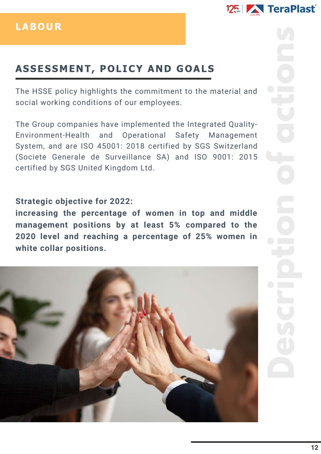

The HSSE policy highlights the commitment to the material and social working conditions of our employees.

The Group companies have implemented the Integrated Quality-Environment-Health and Operational Safety Management System, and are ISO 45001: 2018 certified by SGS Switzerland (Societe Generale de Surveillance SA) and ISO 9001: 2015 certified by SGS United Kingdom Ltd.

#### **Strategic objective for 2022:**

**increasing the percentage of women in top and middle management positions by at least 5% compared to the 2020 level and reaching a percentage of 25% women in white collar positions.**

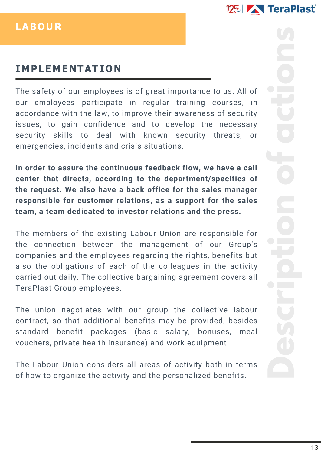

#### LABOUR

## IMPLEMENTATION

The safety of our employees is of great importance to us. All of our employees participate in regular training courses, in accordance with the law, to improve their awareness of security issues, to gain confidence and to develop the necessary security skills to deal with known security threats, or emergencies, incidents and crisis situations.

**In order to assure the continuous feedback flow, we have a call center that directs, according to the department/specifics of the request. We also have a back office for the sales manager responsible for customer relations, as a support for the sales team, a team dedicated to investor relations and the press.**

The members of the existing Labour Union are responsible for the connection between the management of our Group's companies and the employees regarding the rights, benefits but also the obligations of each of the colleagues in the activity carried out daily. The collective bargaining agreement covers all TeraPlast Group employees.

The union negotiates with our group the collective labour contract, so that additional benefits may be provided, besides standard benefit packages (basic salary, bonuses, meal vouchers, private health insurance) and work equipment.

The Labour Union considers all areas of activity both in terms of how to organize the activity and the personalized benefits.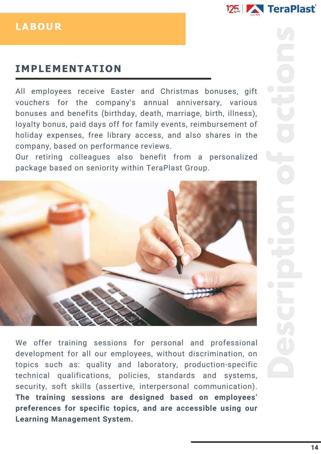

#### LABOUR

## IMPLEMENTATION

All employees receive Easter and Christmas bonuses, gift vouchers for the company's annual anniversary, various bonuses and benefits (birthday, death, marriage, birth, illness), loyalty bonus, paid days off for family events, reimbursement of holiday expenses, free library access, and also shares in the company, based on performance reviews.

Our retiring colleagues also benefit from a personalized package based on seniority within TeraPlast Group.



We offer training sessions for personal and professional development for all our employees, without discrimination, on topics such as: quality and laboratory, production-specific technical qualifications, policies, standards and systems, security, soft skills (assertive, interpersonal communication). **The training sessions are designed based on employees' preferences for specific topics, and are accessible using our Learning Management System.**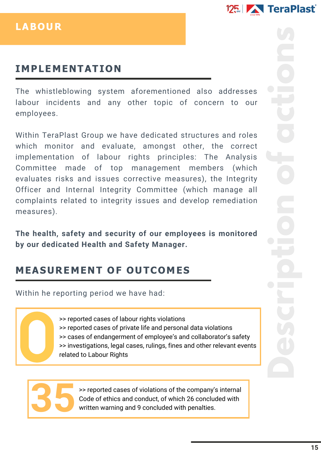

#### LABOUR

## IMPLEMENTATION

The whistleblowing system aforementioned also addresses labour incidents and any other topic of concern to our employees.

Within TeraPlast Group we have dedicated structures and roles which monitor and evaluate, amongst other, the correct implementation of labour rights principles: The Analysis Committee made of top management members (which evaluates risks and issues corrective measures), the Integrity Officer and Internal Integrity Committee (which manage all complaints related to integrity issues and develop remediation measures).

**The health, safety and security of our employees is monitored by our dedicated Health and Safety Manager.**

## MEASUREMENT OF OUTCOMES

Within he reporting period we have had:

>> reported cases of labour rights violations >> reported cases of private life and personal data violations >> cases of endangerment of employee's and collaborator's safety >> investigations, legal cases, rulings, fines and other relevant events related to Labour Rights



>> reported cases of violations of the company's internal Code of ethics and conduct, of which 26 concluded with written warning and 9 concluded with penalties.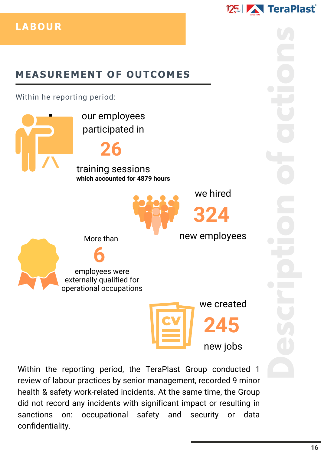# MEASUREMENT OF OUTCOMES

Within he reporting period:

we created **245** we hired **324** new employees our employees participated in **26** training sessions **which accounted for 4879 hours** More than **6** employees were externally qualified for operational occupations

Within the reporting period, the TeraPlast Group conducted 1 review of labour practices by senior management, recorded 9 minor health & safety work-related incidents. At the same time, the Group did not record any incidents with significant impact or resulting in sanctions on: occupational safety and security or data confidentiality.

125 **TeraPlast** 

new jobs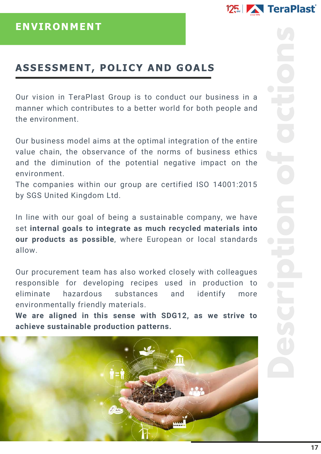Our vision in TeraPlast Group is to conduct our business in a manner which contributes to a better world for both people and the environment.

Our business model aims at the optimal integration of the entire value chain, the observance of the norms of business ethics and the diminution of the potential negative impact on the environment.

The companies within our group are certified ISO 14001:2015 by SGS United Kingdom Ltd.

In line with our goal of being a sustainable company, we have set **internal goals to integrate as much recycled materials into our products as possible**, where European or local standards allow.

Our procurement team has also worked closely with colleagues responsible for developing recipes used in production to eliminate hazardous substances and identify more environmentally friendly materials.

**We are aligned in this sense with SDG12, as we strive to achieve sustainable production patterns.**

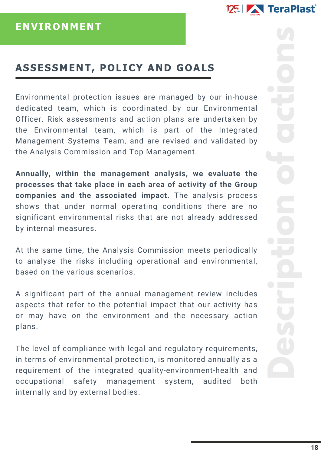Environmental protection issues are managed by our in-house dedicated team, which is coordinated by our Environmental Officer. Risk assessments and action plans are undertaken by the Environmental team, which is part of the Integrated Management Systems Team, and are revised and validated by the Analysis Commission and Top Management.

**Annually, within the management analysis, we evaluate the processes that take place in each area of activity of the Group companies and the associated impact.** The analysis process shows that under normal operating conditions there are no significant environmental risks that are not already addressed by internal measures.

At the same time, the Analysis Commission meets periodically to analyse the risks including operational and environmental, based on the various scenarios.

A significant part of the annual management review includes aspects that refer to the potential impact that our activity has or may have on the environment and the necessary action plans.

The level of compliance with legal and regulatory requirements, in terms of environmental protection, is monitored annually as a requirement of the integrated quality-environment-health and occupational safety management system, audited both internally and by external bodies.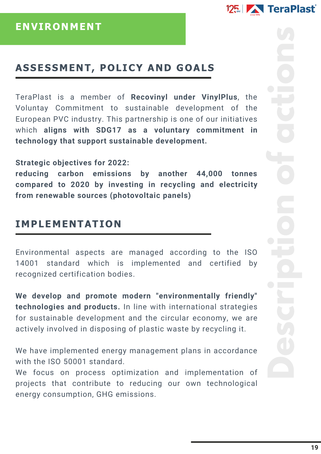# 125 | TeraPlast

#### ASSESSMENT, POLICY AND GOALS

TeraPlast is a member of **Recovinyl under VinylPlus**, the Voluntay Commitment to sustainable development of the European PVC industry. This partnership is one of our initiatives which **aligns with SDG17 as a voluntary commitment in technology that support sustainable development.**

#### **Strategic objectives for 2022:**

**reducing carbon emissions by another 44,000 tonnes compared to 2020 by investing in recycling and electricity from renewable sources (photovoltaic panels)**

#### IMPLEMENTATION

Environmental aspects are managed according to the ISO 14001 standard which is implemented and certified by recognized certification bodies.

**We develop and promote modern "environmentally friendly" technologies and products.** In line with international strategies for sustainable development and the circular economy, we are actively involved in disposing of plastic waste by recycling it.

We have implemented energy management plans in accordance with the ISO 50001 standard.

We focus on process optimization and implementation of projects that contribute to reducing our own technological energy consumption, GHG emissions.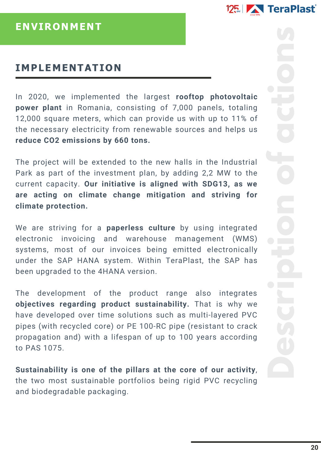

#### IMPLEMENTATION

In 2020, we implemented the largest **rooftop photovoltaic power plant** in Romania, consisting of 7,000 panels, totaling 12,000 square meters, which can provide us with up to 11% of the necessary electricity from renewable sources and helps us **reduce CO2 emissions by 660 tons.**

The project will be extended to the new halls in the Industrial Park as part of the investment plan, by adding 2,2 MW to the current capacity. **Our initiative is aligned with SDG13, as we are acting on climate change mitigation and striving for climate protection.**

We are striving for a **paperless culture** by using integrated electronic invoicing and warehouse management (WMS) systems, most of our invoices being emitted electronically under the SAP HANA system. Within TeraPlast, the SAP has been upgraded to the 4HANA version.

The development of the product range also integrates **objectives regarding product sustainability.** That is why we have developed over time solutions such as multi-layered PVC pipes (with recycled core) or PE 100-RC pipe (resistant to crack propagation and) with a lifespan of up to 100 years according to PAS 1075.

**Sustainability is one of the pillars at the core of our activity**, the two most sustainable portfolios being rigid PVC recycling and biodegradable packaging.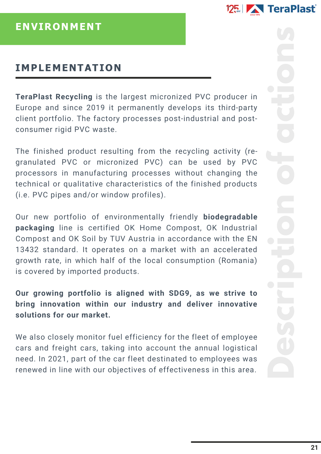

#### IMPLEMENTATION

**TeraPlast Recycling** is the largest micronized PVC producer in Europe and since 2019 it permanently develops its third-party client portfolio. The factory processes post-industrial and postconsumer rigid PVC waste.

The finished product resulting from the recycling activity (regranulated PVC or micronized PVC) can be used by PVC processors in manufacturing processes without changing the technical or qualitative characteristics of the finished products (i.e. PVC pipes and/or window profiles).

Our new portfolio of environmentally friendly **biodegradable packaging** line is certified OK Home Compost, OK Industrial Compost and OK Soil by TUV Austria in accordance with the EN 13432 standard. It operates on a market with an accelerated growth rate, in which half of the local consumption (Romania) is covered by imported products.

**Our growing portfolio is aligned with SDG9, as we strive to bring innovation within our industry and deliver innovative solutions for our market.**

We also closely monitor fuel efficiency for the fleet of employee cars and freight cars, taking into account the annual logistical need. In 2021, part of the car fleet destinated to employees was renewed in line with our objectives of effectiveness in this area.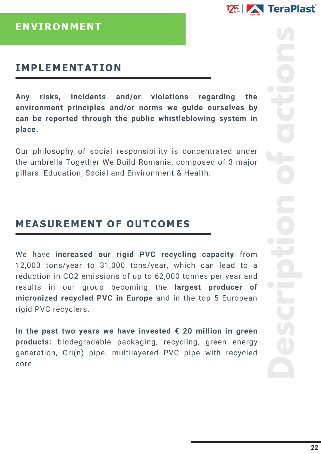

#### IMPLEMENTATION

**Any risks, incidents and/or violations regarding the environment principles and/or norms we guide ourselves by can be reported through the public whistleblowing system in place.**

Our philosophy of social responsibility is concentrated under the umbrella Together We Build Romania, composed of 3 major pillars: Education, Social and Environment & Health.

## MEASUREMENT OF OUTCOMES

We have **increased our rigid PVC recycling capacity** from 12,000 tons/year to 31,000 tons/year, which can lead to a reduction in CO2 emissions of up to 62,000 tonnes per year and results in our group becoming the **largest producer of micronized recycled PVC in Europe** and in the top 5 European rigid PVC recyclers.

**In the past two years we have invested € 20 million in green products:** biodegradable packaging, recycling, green energy generation, Gri(n) pipe, multilayered PVC pipe with recycled core.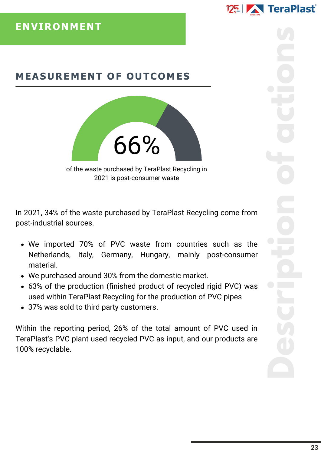## MEASUREMENT OF OUTCOMES



of the waste purchased by TeraPlast Recycling in 2021 is post-consumer waste

In 2021, 34% of the waste purchased by TeraPlast Recycling come from post-industrial sources.

- We imported 70% of PVC waste from countries such as the Netherlands, Italy, Germany, Hungary, mainly post-consumer material.
- We purchased around 30% from the domestic market.
- 63% of the production (finished product of recycled rigid PVC) was used within TeraPlast Recycling for the production of PVC pipes
- 37% was sold to third party customers.

Within the reporting period, 26% of the total amount of PVC used in TeraPlast's PVC plant used recycled PVC as input, and our products are 100% recyclable.

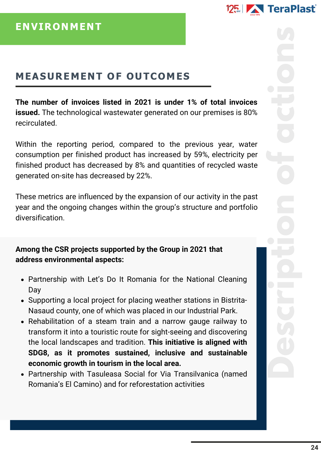# 125 | TeraPlast

# MEASUREMENT OF OUTCOMES

**The number of invoices listed in 2021 is under 1% of total invoices issued.** The technological wastewater generated on our premises is 80% recirculated.

Within the reporting period, compared to the previous year, water consumption per finished product has increased by 59%, electricity per finished product has decreased by 8% and quantities of recycled waste generated on-site has decreased by 22%.

These metrics are influenced by the expansion of our activity in the past year and the ongoing changes within the group's structure and portfolio diversification.

**Among the CSR projects supported by the Group in 2021 that address environmental aspects:**

- Partnership with Let's Do It Romania for the National Cleaning Day
- Supporting a local project for placing weather stations in Bistrita-Nasaud county, one of which was placed in our Industrial Park.
- Rehabilitation of a steam train and a narrow gauge railway to transform it into a touristic route for sight-seeing and discovering the local landscapes and tradition. **This initiative is aligned with SDG8, as it promotes sustained, inclusive and sustainable economic growth in tourism in the local area.**
- Partnership with Tasuleasa Social for Via Transilvanica (named Romania's El Camino) and for reforestation activities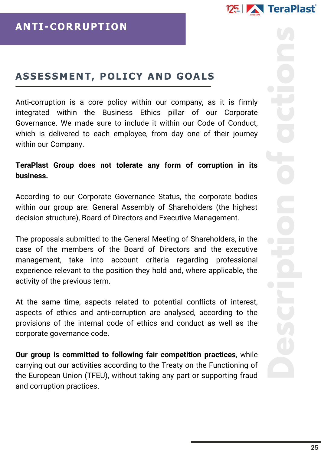Anti-corruption is a core policy within our company, as it is firmly integrated within the Business Ethics pillar of our Corporate Governance. We made sure to include it within our Code of Conduct, which is delivered to each employee, from day one of their journey within our Company.

#### **TeraPlast Group does not tolerate any form of corruption in its business.**

According to our Corporate Governance Status, the corporate bodies within our group are: General Assembly of Shareholders (the highest decision structure), Board of Directors and Executive Management.

The proposals submitted to the General Meeting of Shareholders, in the case of the members of the Board of Directors and the executive management, take into account criteria regarding professional experience relevant to the position they hold and, where applicable, the activity of the previous term.

At the same time, aspects related to potential conflicts of interest, aspects of ethics and anti-corruption are analysed, according to the provisions of the internal code of ethics and conduct as well as the corporate governance code.

**Our group is committed to following fair competition practices**, while carrying out our activities according to the Treaty on the Functioning of the European Union (TFEU), without taking any part or supporting fraud and corruption practices.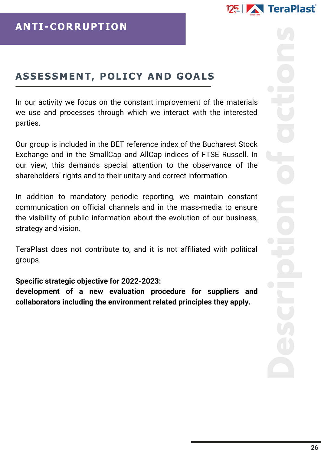In our activity we focus on the constant improvement of the materials we use and processes through which we interact with the interested parties.

Our group is included in the BET reference index of the Bucharest Stock Exchange and in the SmallCap and AllCap indices of FTSE Russell. In our view, this demands special attention to the observance of the shareholders' rights and to their unitary and correct information.

In addition to mandatory periodic reporting, we maintain constant communication on official channels and in the mass-media to ensure the visibility of public information about the evolution of our business, strategy and vision.

TeraPlast does not contribute to, and it is not affiliated with political groups.

#### **Specific strategic objective for 2022-2023:**

**development of a new evaluation procedure for suppliers and collaborators including the environment related principles they apply.**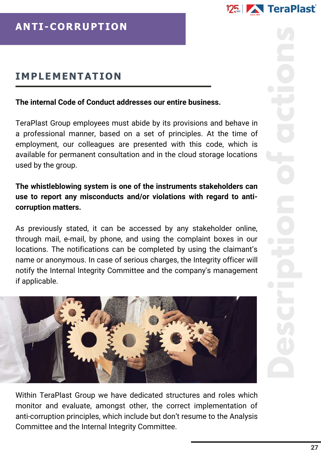

## IMPLEMENTATION

#### **The internal Code of Conduct addresses our entire business.**

TeraPlast Group employees must abide by its provisions and behave in a professional manner, based on a set of principles. At the time of employment, our colleagues are presented with this code, which is available for permanent consultation and in the cloud storage locations used by the group.

#### **The whistleblowing system is one of the instruments stakeholders can use to report any misconducts and/or violations with regard to anticorruption matters.**

As previously stated, it can be accessed by any stakeholder online, through mail, e-mail, by phone, and using the complaint boxes in our locations. The notifications can be completed by using the claimant's name or anonymous. In case of serious charges, the Integrity officer will notify the Internal Integrity Committee and the company's management if applicable.



Within TeraPlast Group we have dedicated structures and roles which monitor and evaluate, amongst other, the correct implementation of anti-corruption principles, which include but don't resume to the Analysis Committee and the Internal Integrity Committee.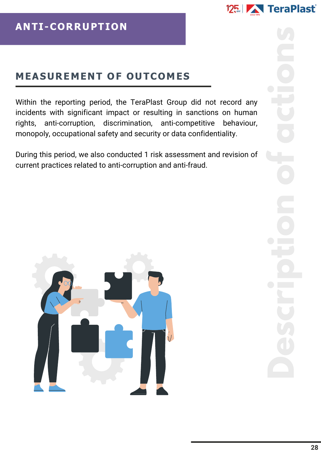# MEASUREMENT OF OUTCOMES

Within the reporting period, the TeraPlast Group did not record any incidents with significant impact or resulting in sanctions on human rights, anti-corruption, discrimination, anti-competitive behaviour, monopoly, occupational safety and security or data confidentiality.

During this period, we also conducted 1 risk assessment and revision of current practices related to anti-corruption and anti-fraud.